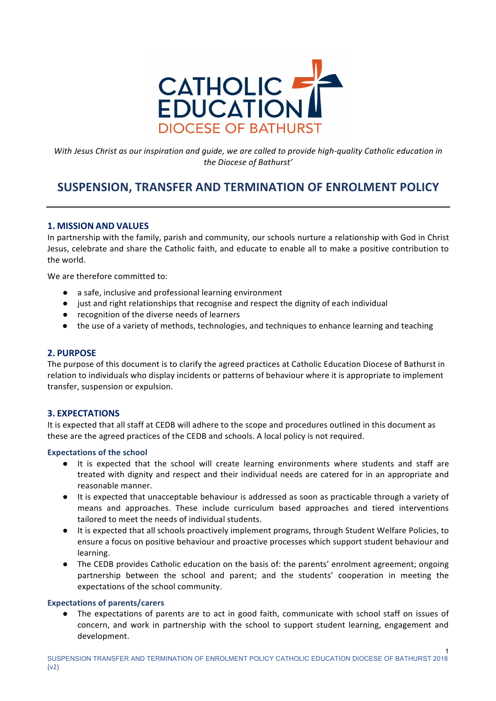

*With Jesus Christ as our inspiration and quide, we are called to provide high-quality Catholic education in the Diocese of Bathurst'*

## **SUSPENSION, TRANSFER AND TERMINATION OF ENROLMENT POLICY**

## **1. MISSION AND VALUES**

In partnership with the family, parish and community, our schools nurture a relationship with God in Christ Jesus, celebrate and share the Catholic faith, and educate to enable all to make a positive contribution to the world.

We are therefore committed to:

- a safe, inclusive and professional learning environment
- just and right relationships that recognise and respect the dignity of each individual
- recognition of the diverse needs of learners
- the use of a variety of methods, technologies, and techniques to enhance learning and teaching

## **2. PURPOSE**

The purpose of this document is to clarify the agreed practices at Catholic Education Diocese of Bathurst in relation to individuals who display incidents or patterns of behaviour where it is appropriate to implement transfer, suspension or expulsion.

## **3. EXPECTATIONS**

It is expected that all staff at CEDB will adhere to the scope and procedures outlined in this document as these are the agreed practices of the CEDB and schools. A local policy is not required.

## **Expectations of the school**

- It is expected that the school will create learning environments where students and staff are treated with dignity and respect and their individual needs are catered for in an appropriate and reasonable manner.
- It is expected that unacceptable behaviour is addressed as soon as practicable through a variety of means and approaches. These include curriculum based approaches and tiered interventions tailored to meet the needs of individual students.
- It is expected that all schools proactively implement programs, through Student Welfare Policies, to ensure a focus on positive behaviour and proactive processes which support student behaviour and learning.
- The CEDB provides Catholic education on the basis of: the parents' enrolment agreement; ongoing partnership between the school and parent; and the students' cooperation in meeting the expectations of the school community.

#### **Expectations of parents/carers**

• The expectations of parents are to act in good faith, communicate with school staff on issues of concern, and work in partnership with the school to support student learning, engagement and development.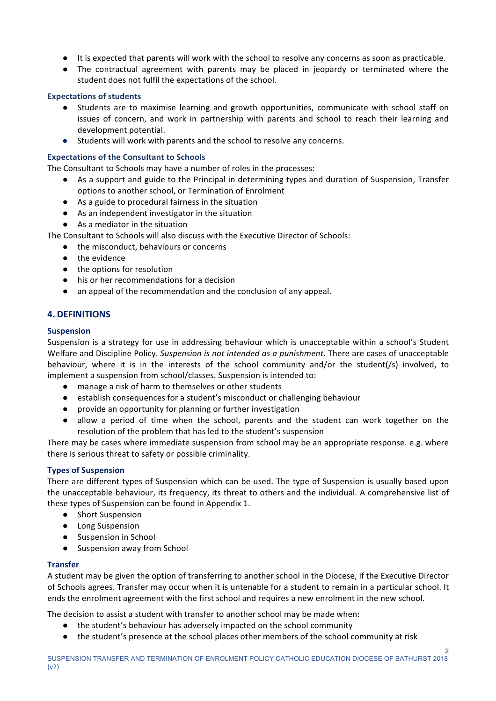- It is expected that parents will work with the school to resolve any concerns as soon as practicable.
- The contractual agreement with parents may be placed in jeopardy or terminated where the student does not fulfil the expectations of the school.

## **Expectations of students**

- Students are to maximise learning and growth opportunities, communicate with school staff on issues of concern, and work in partnership with parents and school to reach their learning and development potential.
- Students will work with parents and the school to resolve any concerns.

## **Expectations of the Consultant to Schools**

The Consultant to Schools may have a number of roles in the processes:

- As a support and guide to the Principal in determining types and duration of Suspension, Transfer options to another school, or Termination of Enrolment
- $\bullet$  As a guide to procedural fairness in the situation
- As an independent investigator in the situation
- As a mediator in the situation

The Consultant to Schools will also discuss with the Executive Director of Schools:

- the misconduct, behaviours or concerns
- $\bullet$  the evidence
- $\bullet$  the options for resolution
- his or her recommendations for a decision
- an appeal of the recommendation and the conclusion of any appeal.

## **4. DEFINITIONS**

## **Suspension**

Suspension is a strategy for use in addressing behaviour which is unacceptable within a school's Student Welfare and Discipline Policy. Suspension is not intended as a punishment. There are cases of unacceptable behaviour, where it is in the interests of the school community and/or the student(/s) involved, to implement a suspension from school/classes. Suspension is intended to:

- manage a risk of harm to themselves or other students
- establish consequences for a student's misconduct or challenging behaviour
- provide an opportunity for planning or further investigation
- allow a period of time when the school, parents and the student can work together on the resolution of the problem that has led to the student's suspension

There may be cases where immediate suspension from school may be an appropriate response. e.g. where there is serious threat to safety or possible criminality.

## **Types of Suspension**

There are different types of Suspension which can be used. The type of Suspension is usually based upon the unacceptable behaviour, its frequency, its threat to others and the individual. A comprehensive list of these types of Suspension can be found in Appendix 1.

- Short Suspension
- Long Suspension
- Suspension in School
- Suspension away from School

## **Transfer**

A student may be given the option of transferring to another school in the Diocese, if the Executive Director of Schools agrees. Transfer may occur when it is untenable for a student to remain in a particular school. It ends the enrolment agreement with the first school and requires a new enrolment in the new school.

The decision to assist a student with transfer to another school may be made when:

- the student's behaviour has adversely impacted on the school community
- the student's presence at the school places other members of the school community at risk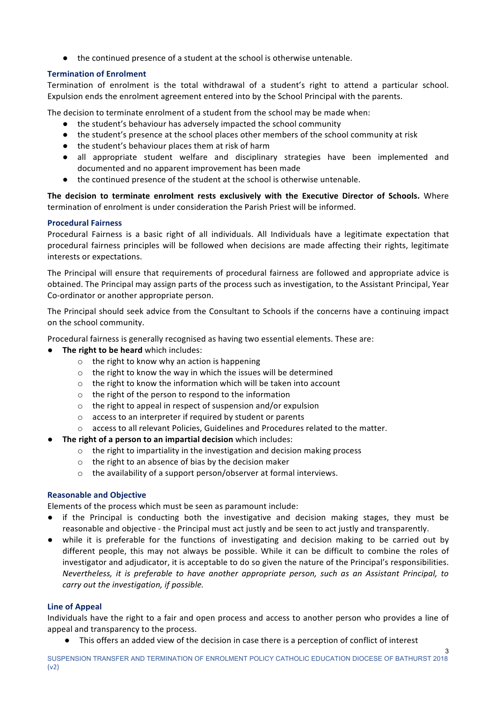● the continued presence of a student at the school is otherwise untenable.

## **Termination of Enrolment**

Termination of enrolment is the total withdrawal of a student's right to attend a particular school. Expulsion ends the enrolment agreement entered into by the School Principal with the parents.

The decision to terminate enrolment of a student from the school may be made when:

- the student's behaviour has adversely impacted the school community
- the student's presence at the school places other members of the school community at risk
- the student's behaviour places them at risk of harm
- all appropriate student welfare and disciplinary strategies have been implemented and documented and no apparent improvement has been made
- the continued presence of the student at the school is otherwise untenable.

The decision to terminate enrolment rests exclusively with the Executive Director of Schools. Where termination of enrolment is under consideration the Parish Priest will be informed.

## **Procedural Fairness**

Procedural Fairness is a basic right of all individuals. All Individuals have a legitimate expectation that procedural fairness principles will be followed when decisions are made affecting their rights, legitimate interests or expectations.

The Principal will ensure that requirements of procedural fairness are followed and appropriate advice is obtained. The Principal may assign parts of the process such as investigation, to the Assistant Principal, Year Co-ordinator or another appropriate person.

The Principal should seek advice from the Consultant to Schools if the concerns have a continuing impact on the school community.

Procedural fairness is generally recognised as having two essential elements. These are:

- **•** The right to be heard which includes:
	- $\circ$  the right to know why an action is happening
	- $\circ$  the right to know the way in which the issues will be determined
	- $\circ$  the right to know the information which will be taken into account
	- $\circ$  the right of the person to respond to the information
	- $\circ$  the right to appeal in respect of suspension and/or expulsion
	- $\circ$  access to an interpreter if required by student or parents
	- $\circ$  access to all relevant Policies, Guidelines and Procedures related to the matter.
- **The right of a person to an impartial decision** which includes:
	- $\circ$  the right to impartiality in the investigation and decision making process
	- $\circ$  the right to an absence of bias by the decision maker
	- $\circ$  the availability of a support person/observer at formal interviews.

## **Reasonable and Objective**

Elements of the process which must be seen as paramount include:

- if the Principal is conducting both the investigative and decision making stages, they must be reasonable and objective - the Principal must act justly and be seen to act justly and transparently.
- while it is preferable for the functions of investigating and decision making to be carried out by different people, this may not always be possible. While it can be difficult to combine the roles of investigator and adjudicator, it is acceptable to do so given the nature of the Principal's responsibilities. *Nevertheless, it is preferable to have another appropriate person, such as an Assistant Principal, to* carry out the investigation, if possible.

## **Line of Appeal**

Individuals have the right to a fair and open process and access to another person who provides a line of appeal and transparency to the process.

• This offers an added view of the decision in case there is a perception of conflict of interest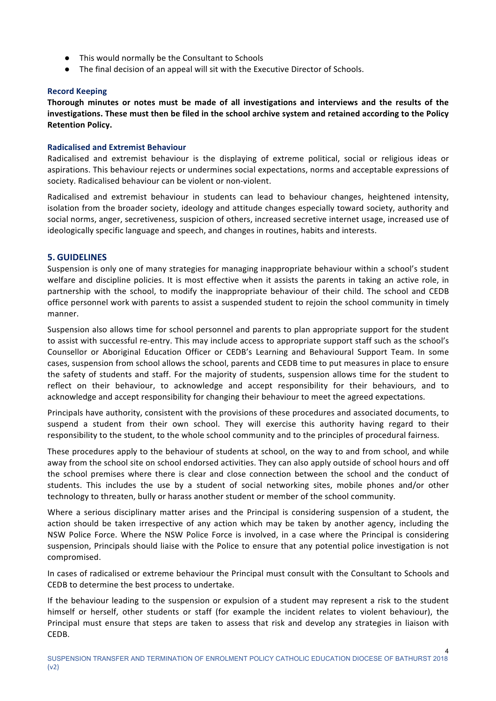- This would normally be the Consultant to Schools
- $\bullet$  The final decision of an appeal will sit with the Executive Director of Schools.

#### **Record Keeping**

Thorough minutes or notes must be made of all investigations and interviews and the results of the investigations. These must then be filed in the school archive system and retained according to the Policy **Retention Policy.**

#### **Radicalised and Extremist Behaviour**

Radicalised and extremist behaviour is the displaying of extreme political, social or religious ideas or aspirations. This behaviour rejects or undermines social expectations, norms and acceptable expressions of society. Radicalised behaviour can be violent or non-violent.

Radicalised and extremist behaviour in students can lead to behaviour changes, heightened intensity, isolation from the broader society, ideology and attitude changes especially toward society, authority and social norms, anger, secretiveness, suspicion of others, increased secretive internet usage, increased use of ideologically specific language and speech, and changes in routines, habits and interests.

## **5. GUIDELINES**

Suspension is only one of many strategies for managing inappropriate behaviour within a school's student welfare and discipline policies. It is most effective when it assists the parents in taking an active role, in partnership with the school, to modify the inappropriate behaviour of their child. The school and CEDB office personnel work with parents to assist a suspended student to rejoin the school community in timely manner. 

Suspension also allows time for school personnel and parents to plan appropriate support for the student to assist with successful re-entry. This may include access to appropriate support staff such as the school's Counsellor or Aboriginal Education Officer or CEDB's Learning and Behavioural Support Team. In some cases, suspension from school allows the school, parents and CEDB time to put measures in place to ensure the safety of students and staff. For the majority of students, suspension allows time for the student to reflect on their behaviour, to acknowledge and accept responsibility for their behaviours, and to acknowledge and accept responsibility for changing their behaviour to meet the agreed expectations.

Principals have authority, consistent with the provisions of these procedures and associated documents, to suspend a student from their own school. They will exercise this authority having regard to their responsibility to the student, to the whole school community and to the principles of procedural fairness.

These procedures apply to the behaviour of students at school, on the way to and from school, and while away from the school site on school endorsed activities. They can also apply outside of school hours and off the school premises where there is clear and close connection between the school and the conduct of students. This includes the use by a student of social networking sites, mobile phones and/or other technology to threaten, bully or harass another student or member of the school community.

Where a serious disciplinary matter arises and the Principal is considering suspension of a student, the action should be taken irrespective of any action which may be taken by another agency, including the NSW Police Force. Where the NSW Police Force is involved, in a case where the Principal is considering suspension, Principals should liaise with the Police to ensure that any potential police investigation is not compromised.

In cases of radicalised or extreme behaviour the Principal must consult with the Consultant to Schools and CEDB to determine the best process to undertake.

If the behaviour leading to the suspension or expulsion of a student may represent a risk to the student himself or herself, other students or staff (for example the incident relates to violent behaviour), the Principal must ensure that steps are taken to assess that risk and develop any strategies in liaison with CEDB.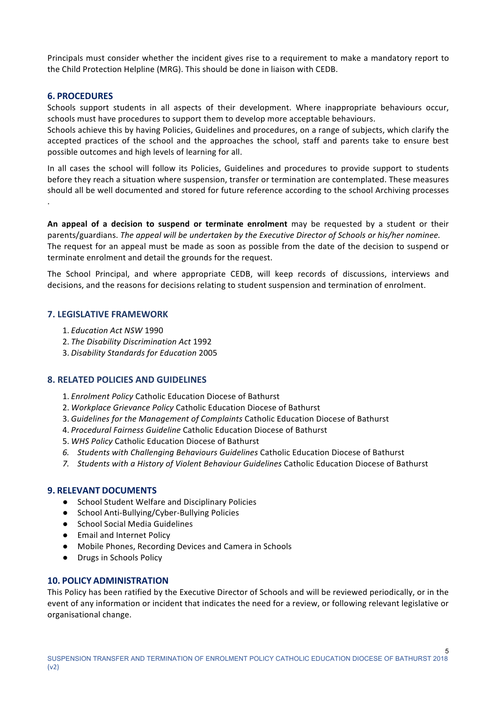Principals must consider whether the incident gives rise to a requirement to make a mandatory report to the Child Protection Helpline (MRG). This should be done in liaison with CEDB.

#### **6. PROCEDURES**

Schools support students in all aspects of their development. Where inappropriate behaviours occur, schools must have procedures to support them to develop more acceptable behaviours.

Schools achieve this by having Policies, Guidelines and procedures, on a range of subjects, which clarify the accepted practices of the school and the approaches the school, staff and parents take to ensure best possible outcomes and high levels of learning for all.

In all cases the school will follow its Policies, Guidelines and procedures to provide support to students before they reach a situation where suspension, transfer or termination are contemplated. These measures should all be well documented and stored for future reference according to the school Archiving processes .

An appeal of a decision to suspend or terminate enrolment may be requested by a student or their parents/guardians. The appeal will be undertaken by the Executive Director of Schools or his/her nominee. The request for an appeal must be made as soon as possible from the date of the decision to suspend or terminate enrolment and detail the grounds for the request.

The School Principal, and where appropriate CEDB, will keep records of discussions, interviews and decisions, and the reasons for decisions relating to student suspension and termination of enrolment.

#### **7. LEGISLATIVE FRAMEWORK**

- 1. *Education Act NSW* 1990
- 2. *The Disability Discrimination Act* 1992
- 3. *Disability Standards for Education* 2005

## **8. RELATED POLICIES AND GUIDELINES**

- 1. *Enrolment Policy* Catholic Education Diocese of Bathurst
- 2. Workplace Grievance Policy Catholic Education Diocese of Bathurst
- 3. *Guidelines for the Management of Complaints* Catholic Education Diocese of Bathurst
- 4. *Procedural Fairness Guideline* Catholic Education Diocese of Bathurst
- 5. WHS Policy Catholic Education Diocese of Bathurst
- 6. Students with Challenging Behaviours Guidelines Catholic Education Diocese of Bathurst
- 7. Students with a History of Violent Behaviour Guidelines Catholic Education Diocese of Bathurst

#### **9. RELEVANT DOCUMENTS**

- School Student Welfare and Disciplinary Policies
- School Anti-Bullying/Cyber-Bullying Policies
- School Social Media Guidelines
- Email and Internet Policy
- Mobile Phones, Recording Devices and Camera in Schools
- Drugs in Schools Policy

## **10. POLICY ADMINISTRATION**

This Policy has been ratified by the Executive Director of Schools and will be reviewed periodically, or in the event of any information or incident that indicates the need for a review, or following relevant legislative or organisational change.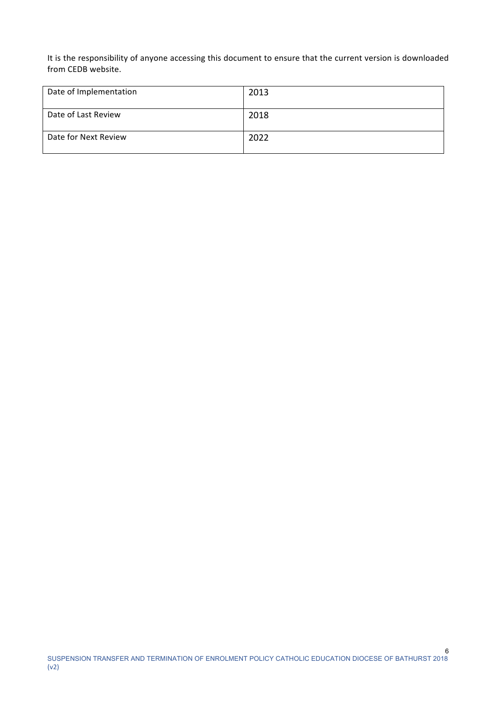It is the responsibility of anyone accessing this document to ensure that the current version is downloaded from CEDB website.

| Date of Implementation | 2013 |
|------------------------|------|
| Date of Last Review    | 2018 |
| Date for Next Review   | 2022 |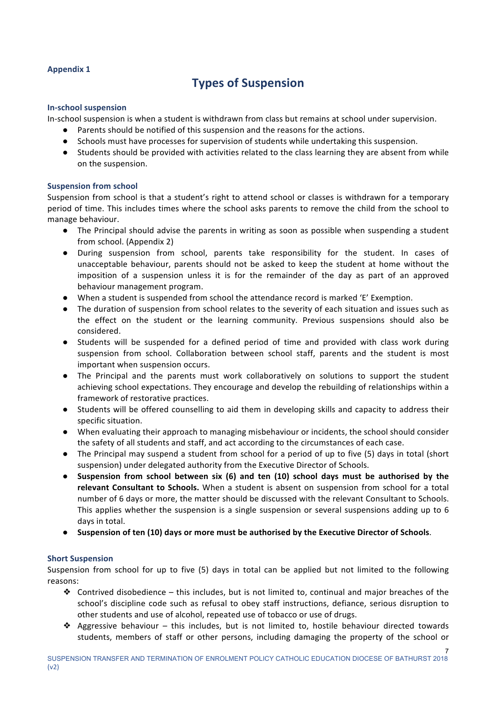## **Appendix 1**

# **Types of Suspension**

#### **In-school suspension**

In-school suspension is when a student is withdrawn from class but remains at school under supervision.

- Parents should be notified of this suspension and the reasons for the actions.
- Schools must have processes for supervision of students while undertaking this suspension.
- Students should be provided with activities related to the class learning they are absent from while on the suspension.

## **Suspension from school**

Suspension from school is that a student's right to attend school or classes is withdrawn for a temporary period of time. This includes times where the school asks parents to remove the child from the school to manage behaviour.

- The Principal should advise the parents in writing as soon as possible when suspending a student from school. (Appendix 2)
- During suspension from school, parents take responsibility for the student. In cases of unacceptable behaviour, parents should not be asked to keep the student at home without the imposition of a suspension unless it is for the remainder of the day as part of an approved behaviour management program.
- When a student is suspended from school the attendance record is marked 'E' Exemption.
- The duration of suspension from school relates to the severity of each situation and issues such as the effect on the student or the learning community. Previous suspensions should also be considered.
- Students will be suspended for a defined period of time and provided with class work during suspension from school. Collaboration between school staff, parents and the student is most important when suspension occurs.
- The Principal and the parents must work collaboratively on solutions to support the student achieving school expectations. They encourage and develop the rebuilding of relationships within a framework of restorative practices.
- Students will be offered counselling to aid them in developing skills and capacity to address their specific situation.
- When evaluating their approach to managing misbehaviour or incidents, the school should consider the safety of all students and staff, and act according to the circumstances of each case.
- The Principal may suspend a student from school for a period of up to five (5) days in total (short suspension) under delegated authority from the Executive Director of Schools.
- Suspension from school between six (6) and ten (10) school days must be authorised by the relevant Consultant to Schools. When a student is absent on suspension from school for a total number of 6 days or more, the matter should be discussed with the relevant Consultant to Schools. This applies whether the suspension is a single suspension or several suspensions adding up to  $6$ days in total.
- **•** Suspension of ten (10) days or more must be authorised by the Executive Director of Schools.

## **Short Suspension**

Suspension from school for up to five  $(5)$  days in total can be applied but not limited to the following reasons:

- $\triangleq$  Contrived disobedience this includes, but is not limited to, continual and major breaches of the school's discipline code such as refusal to obey staff instructions, defiance, serious disruption to other students and use of alcohol, repeated use of tobacco or use of drugs.
- ◆ Aggressive behaviour this includes, but is not limited to, hostile behaviour directed towards students, members of staff or other persons, including damaging the property of the school or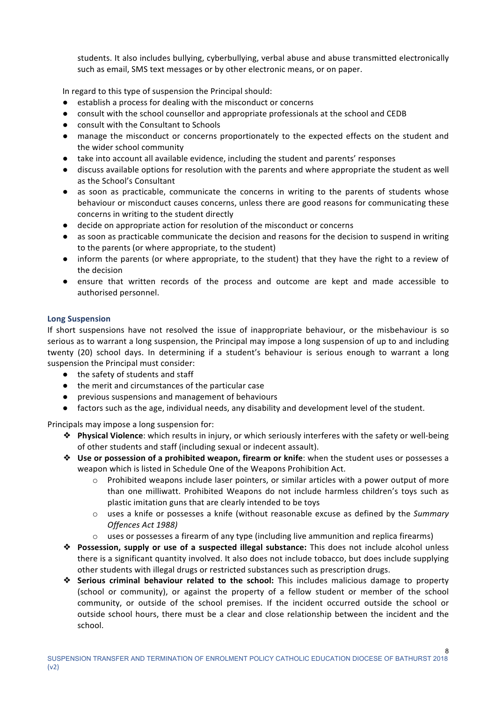students. It also includes bullying, cyberbullying, verbal abuse and abuse transmitted electronically such as email. SMS text messages or by other electronic means, or on paper.

In regard to this type of suspension the Principal should:

- establish a process for dealing with the misconduct or concerns
- consult with the school counsellor and appropriate professionals at the school and CEDB
- consult with the Consultant to Schools
- manage the misconduct or concerns proportionately to the expected effects on the student and the wider school community
- take into account all available evidence, including the student and parents' responses
- $\bullet$  discuss available options for resolution with the parents and where appropriate the student as well as the School's Consultant
- as soon as practicable, communicate the concerns in writing to the parents of students whose behaviour or misconduct causes concerns, unless there are good reasons for communicating these concerns in writing to the student directly
- decide on appropriate action for resolution of the misconduct or concerns
- as soon as practicable communicate the decision and reasons for the decision to suspend in writing to the parents (or where appropriate, to the student)
- inform the parents (or where appropriate, to the student) that they have the right to a review of the decision
- ensure that written records of the process and outcome are kept and made accessible to authorised personnel.

#### **Long Suspension**

If short suspensions have not resolved the issue of inappropriate behaviour, or the misbehaviour is so serious as to warrant a long suspension, the Principal may impose a long suspension of up to and including twenty (20) school days. In determining if a student's behaviour is serious enough to warrant a long suspension the Principal must consider:

- the safety of students and staff
- the merit and circumstances of the particular case
- previous suspensions and management of behaviours
- factors such as the age, individual needs, any disability and development level of the student.

Principals may impose a long suspension for:

- **❖** Physical Violence: which results in injury, or which seriously interferes with the safety or well-being of other students and staff (including sexual or indecent assault).
- **❖** Use or possession of a prohibited weapon, firearm or knife: when the student uses or possesses a weapon which is listed in Schedule One of the Weapons Prohibition Act.
	- $\circ$  Prohibited weapons include laser pointers, or similar articles with a power output of more than one milliwatt. Prohibited Weapons do not include harmless children's toys such as plastic imitation guns that are clearly intended to be toys
	- o uses a knife or possesses a knife (without reasonable excuse as defined by the *Summary Offences Act 1988)*
	- $\circ$  uses or possesses a firearm of any type (including live ammunition and replica firearms)
- ◆ **Possession, supply or use of a suspected illegal substance:** This does not include alcohol unless there is a significant quantity involved. It also does not include tobacco, but does include supplying other students with illegal drugs or restricted substances such as prescription drugs.
- **❖** Serious criminal behaviour related to the school: This includes malicious damage to property (school or community), or against the property of a fellow student or member of the school community, or outside of the school premises. If the incident occurred outside the school or outside school hours, there must be a clear and close relationship between the incident and the school.

8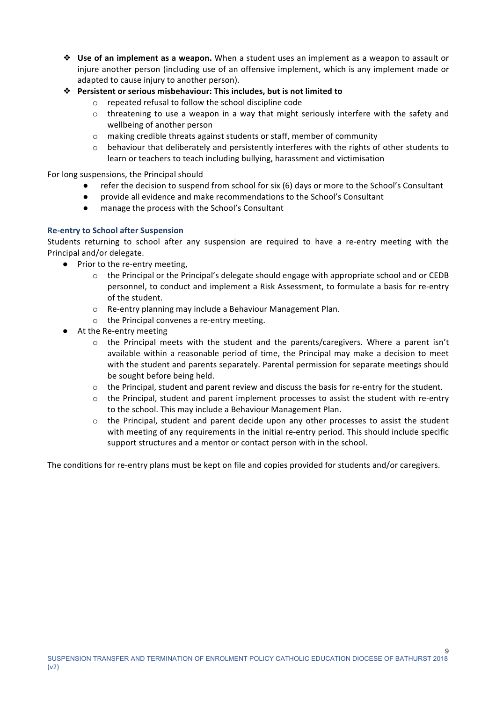- **❖** Use of an implement as a weapon. When a student uses an implement as a weapon to assault or injure another person (including use of an offensive implement, which is any implement made or adapted to cause injury to another person).
- **❖** Persistent or serious misbehaviour: This includes, but is not limited to
	- $\circ$  repeated refusal to follow the school discipline code
	- $\circ$  threatening to use a weapon in a way that might seriously interfere with the safety and wellbeing of another person
	- $\circ$  making credible threats against students or staff, member of community
	- $\circ$  behaviour that deliberately and persistently interferes with the rights of other students to learn or teachers to teach including bullying, harassment and victimisation

For long suspensions, the Principal should

- refer the decision to suspend from school for six (6) days or more to the School's Consultant
- provide all evidence and make recommendations to the School's Consultant
- manage the process with the School's Consultant

## **Re-entry to School after Suspension**

Students returning to school after any suspension are required to have a re-entry meeting with the Principal and/or delegate.

- Prior to the re-entry meeting,
	- $\circ$  the Principal or the Principal's delegate should engage with appropriate school and or CEDB personnel, to conduct and implement a Risk Assessment, to formulate a basis for re-entry of the student.
	- $\circ$  Re-entry planning may include a Behaviour Management Plan.
	- $\circ$  the Principal convenes a re-entry meeting.
- At the Re-entry meeting
	- $\circ$  the Principal meets with the student and the parents/caregivers. Where a parent isn't available within a reasonable period of time, the Principal may make a decision to meet with the student and parents separately. Parental permission for separate meetings should be sought before being held.
	- $\circ$  the Principal, student and parent review and discuss the basis for re-entry for the student.
	- $\circ$  the Principal, student and parent implement processes to assist the student with re-entry to the school. This may include a Behaviour Management Plan.
	- $\circ$  the Principal, student and parent decide upon any other processes to assist the student with meeting of any requirements in the initial re-entry period. This should include specific support structures and a mentor or contact person with in the school.

The conditions for re-entry plans must be kept on file and copies provided for students and/or caregivers.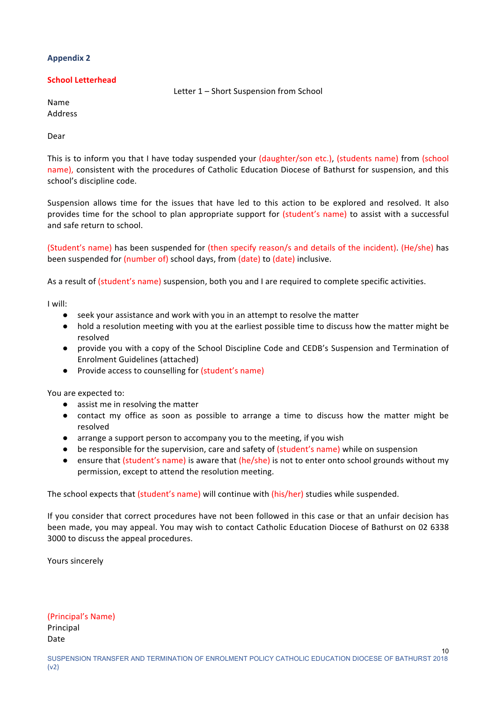## **Appendix 2**

## **School Letterhead**

Letter 1 - Short Suspension from School

Name Address

Dear

This is to inform you that I have today suspended your (daughter/son etc.), (students name) from (school name), consistent with the procedures of Catholic Education Diocese of Bathurst for suspension, and this school's discipline code.

Suspension allows time for the issues that have led to this action to be explored and resolved. It also provides time for the school to plan appropriate support for (student's name) to assist with a successful and safe return to school.

(Student's name) has been suspended for (then specify reason/s and details of the incident). (He/she) has been suspended for (number of) school days, from (date) to (date) inclusive.

As a result of (student's name) suspension, both you and I are required to complete specific activities.

I will:

- seek vour assistance and work with you in an attempt to resolve the matter
- hold a resolution meeting with you at the earliest possible time to discuss how the matter might be resolved
- provide you with a copy of the School Discipline Code and CEDB's Suspension and Termination of Enrolment Guidelines (attached)
- Provide access to counselling for (student's name)

You are expected to:

- assist me in resolving the matter
- contact my office as soon as possible to arrange a time to discuss how the matter might be resolved
- arrange a support person to accompany you to the meeting, if you wish
- be responsible for the supervision, care and safety of (student's name) while on suspension
- ensure that (student's name) is aware that (he/she) is not to enter onto school grounds without my permission, except to attend the resolution meeting.

The school expects that (student's name) will continue with (his/her) studies while suspended.

If you consider that correct procedures have not been followed in this case or that an unfair decision has been made, you may appeal. You may wish to contact Catholic Education Diocese of Bathurst on 02 6338 3000 to discuss the appeal procedures.

Yours sincerely

(Principal's Name) Principal Date

10